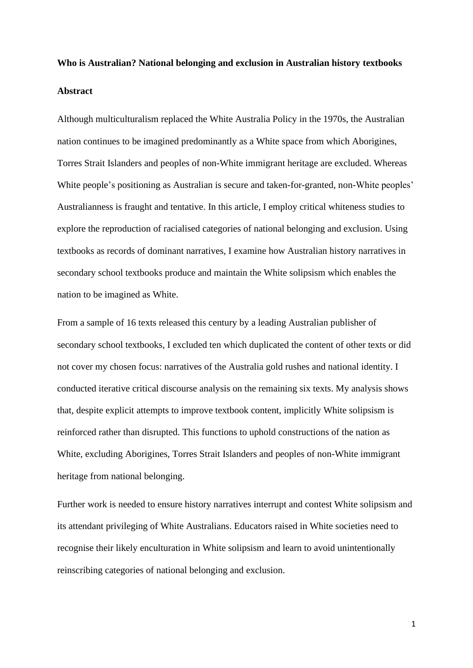# **Who is Australian? National belonging and exclusion in Australian history textbooks Abstract**

Although multiculturalism replaced the White Australia Policy in the 1970s, the Australian nation continues to be imagined predominantly as a White space from which Aborigines, Torres Strait Islanders and peoples of non-White immigrant heritage are excluded. Whereas White people's positioning as Australian is secure and taken-for-granted, non-White peoples' Australianness is fraught and tentative. In this article, I employ critical whiteness studies to explore the reproduction of racialised categories of national belonging and exclusion. Using textbooks as records of dominant narratives, I examine how Australian history narratives in secondary school textbooks produce and maintain the White solipsism which enables the nation to be imagined as White.

From a sample of 16 texts released this century by a leading Australian publisher of secondary school textbooks, I excluded ten which duplicated the content of other texts or did not cover my chosen focus: narratives of the Australia gold rushes and national identity. I conducted iterative critical discourse analysis on the remaining six texts. My analysis shows that, despite explicit attempts to improve textbook content, implicitly White solipsism is reinforced rather than disrupted. This functions to uphold constructions of the nation as White, excluding Aborigines, Torres Strait Islanders and peoples of non-White immigrant heritage from national belonging.

Further work is needed to ensure history narratives interrupt and contest White solipsism and its attendant privileging of White Australians. Educators raised in White societies need to recognise their likely enculturation in White solipsism and learn to avoid unintentionally reinscribing categories of national belonging and exclusion.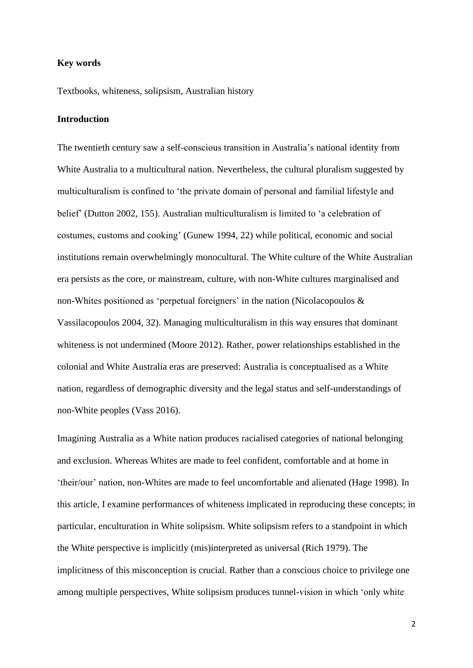#### **Key words**

Textbooks, whiteness, solipsism, Australian history

# **Introduction**

The twentieth century saw a self-conscious transition in Australia's national identity from White Australia to a multicultural nation. Nevertheless, the cultural pluralism suggested by multiculturalism is confined to 'the private domain of personal and familial lifestyle and belief' (Dutton 2002, 155). Australian multiculturalism is limited to 'a celebration of costumes, customs and cooking' (Gunew 1994, 22) while political, economic and social institutions remain overwhelmingly monocultural. The White culture of the White Australian era persists as the core, or mainstream, culture, with non-White cultures marginalised and non-Whites positioned as 'perpetual foreigners' in the nation (Nicolacopoulos & Vassilacopoulos 2004, 32). Managing multiculturalism in this way ensures that dominant whiteness is not undermined (Moore 2012). Rather, power relationships established in the colonial and White Australia eras are preserved: Australia is conceptualised as a White nation, regardless of demographic diversity and the legal status and self-understandings of non-White peoples (Vass 2016).

Imagining Australia as a White nation produces racialised categories of national belonging and exclusion. Whereas Whites are made to feel confident, comfortable and at home in 'their/our' nation, non-Whites are made to feel uncomfortable and alienated (Hage 1998). In this article, I examine performances of whiteness implicated in reproducing these concepts; in particular, enculturation in White solipsism. White solipsism refers to a standpoint in which the White perspective is implicitly (mis)interpreted as universal (Rich 1979). The implicitness of this misconception is crucial. Rather than a conscious choice to privilege one among multiple perspectives, White solipsism produces tunnel-vision in which 'only white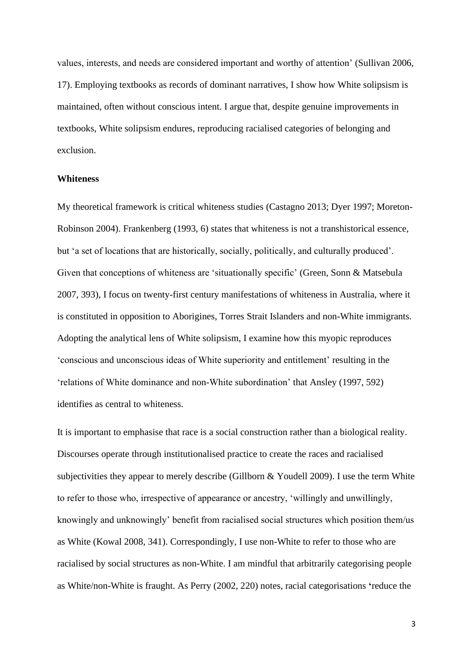values, interests, and needs are considered important and worthy of attention' (Sullivan 2006, 17). Employing textbooks as records of dominant narratives, I show how White solipsism is maintained, often without conscious intent. I argue that, despite genuine improvements in textbooks, White solipsism endures, reproducing racialised categories of belonging and exclusion.

#### **Whiteness**

My theoretical framework is critical whiteness studies (Castagno 2013; Dyer 1997; Moreton-Robinson 2004). Frankenberg (1993, 6) states that whiteness is not a transhistorical essence, but 'a set of locations that are historically, socially, politically, and culturally produced'. Given that conceptions of whiteness are 'situationally specific' (Green, Sonn & Matsebula 2007, 393), I focus on twenty-first century manifestations of whiteness in Australia, where it is constituted in opposition to Aborigines, Torres Strait Islanders and non-White immigrants. Adopting the analytical lens of White solipsism, I examine how this myopic reproduces 'conscious and unconscious ideas of White superiority and entitlement' resulting in the 'relations of White dominance and non-White subordination' that Ansley (1997, 592) identifies as central to whiteness.

It is important to emphasise that race is a social construction rather than a biological reality. Discourses operate through institutionalised practice to create the races and racialised subjectivities they appear to merely describe (Gillborn & Youdell 2009). I use the term White to refer to those who, irrespective of appearance or ancestry, 'willingly and unwillingly, knowingly and unknowingly' benefit from racialised social structures which position them/us as White (Kowal 2008, 341). Correspondingly, I use non-White to refer to those who are racialised by social structures as non-White. I am mindful that arbitrarily categorising people as White/non-White is fraught. As Perry (2002, 220) notes, racial categorisations **'**reduce the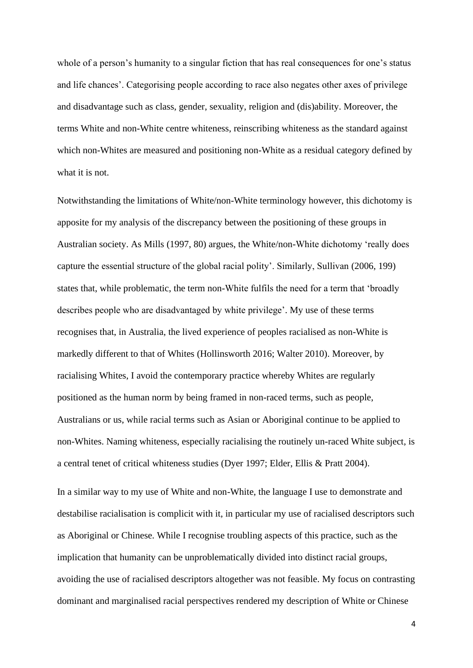whole of a person's humanity to a singular fiction that has real consequences for one's status and life chances'. Categorising people according to race also negates other axes of privilege and disadvantage such as class, gender, sexuality, religion and (dis)ability. Moreover, the terms White and non-White centre whiteness, reinscribing whiteness as the standard against which non-Whites are measured and positioning non-White as a residual category defined by what it is not.

Notwithstanding the limitations of White/non-White terminology however, this dichotomy is apposite for my analysis of the discrepancy between the positioning of these groups in Australian society. As Mills (1997, 80) argues, the White/non-White dichotomy 'really does capture the essential structure of the global racial polity'. Similarly, Sullivan (2006, 199) states that, while problematic, the term non-White fulfils the need for a term that 'broadly describes people who are disadvantaged by white privilege'. My use of these terms recognises that, in Australia, the lived experience of peoples racialised as non-White is markedly different to that of Whites (Hollinsworth 2016; Walter 2010). Moreover, by racialising Whites, I avoid the contemporary practice whereby Whites are regularly positioned as the human norm by being framed in non-raced terms, such as people, Australians or us, while racial terms such as Asian or Aboriginal continue to be applied to non-Whites. Naming whiteness, especially racialising the routinely un-raced White subject, is a central tenet of critical whiteness studies (Dyer 1997; Elder, Ellis & Pratt 2004).

In a similar way to my use of White and non-White, the language I use to demonstrate and destabilise racialisation is complicit with it, in particular my use of racialised descriptors such as Aboriginal or Chinese. While I recognise troubling aspects of this practice, such as the implication that humanity can be unproblematically divided into distinct racial groups, avoiding the use of racialised descriptors altogether was not feasible. My focus on contrasting dominant and marginalised racial perspectives rendered my description of White or Chinese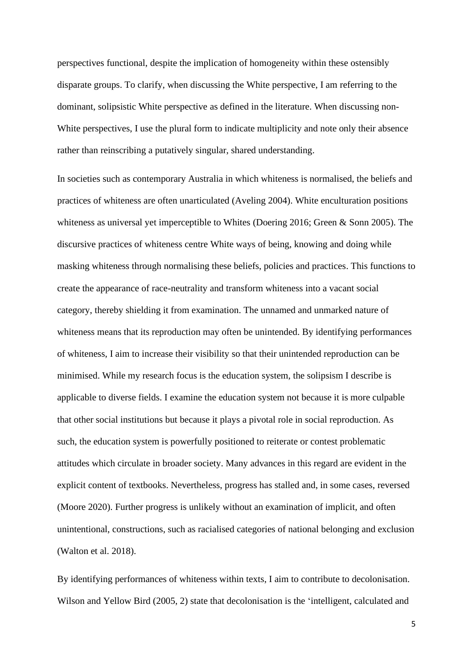perspectives functional, despite the implication of homogeneity within these ostensibly disparate groups. To clarify, when discussing the White perspective, I am referring to the dominant, solipsistic White perspective as defined in the literature. When discussing non-White perspectives, I use the plural form to indicate multiplicity and note only their absence rather than reinscribing a putatively singular, shared understanding.

In societies such as contemporary Australia in which whiteness is normalised, the beliefs and practices of whiteness are often unarticulated (Aveling 2004). White enculturation positions whiteness as universal yet imperceptible to Whites (Doering 2016; Green & Sonn 2005). The discursive practices of whiteness centre White ways of being, knowing and doing while masking whiteness through normalising these beliefs, policies and practices. This functions to create the appearance of race-neutrality and transform whiteness into a vacant social category, thereby shielding it from examination. The unnamed and unmarked nature of whiteness means that its reproduction may often be unintended. By identifying performances of whiteness, I aim to increase their visibility so that their unintended reproduction can be minimised. While my research focus is the education system, the solipsism I describe is applicable to diverse fields. I examine the education system not because it is more culpable that other social institutions but because it plays a pivotal role in social reproduction. As such, the education system is powerfully positioned to reiterate or contest problematic attitudes which circulate in broader society. Many advances in this regard are evident in the explicit content of textbooks. Nevertheless, progress has stalled and, in some cases, reversed (Moore 2020). Further progress is unlikely without an examination of implicit, and often unintentional, constructions, such as racialised categories of national belonging and exclusion (Walton et al. 2018).

By identifying performances of whiteness within texts, I aim to contribute to decolonisation. Wilson and Yellow Bird (2005, 2) state that decolonisation is the 'intelligent, calculated and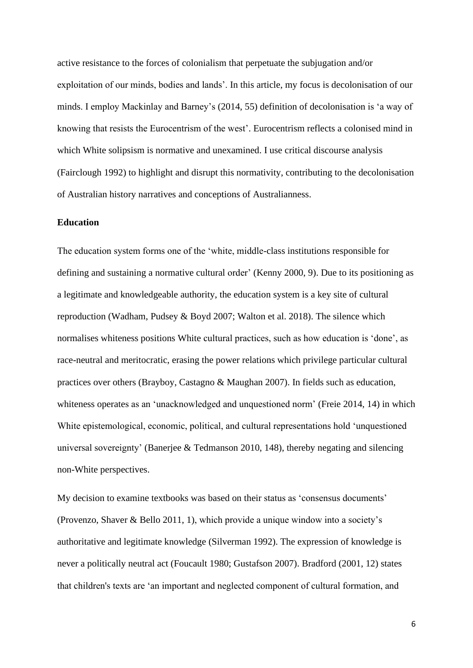active resistance to the forces of colonialism that perpetuate the subjugation and/or exploitation of our minds, bodies and lands'. In this article, my focus is decolonisation of our minds. I employ Mackinlay and Barney's (2014, 55) definition of decolonisation is 'a way of knowing that resists the Eurocentrism of the west'. Eurocentrism reflects a colonised mind in which White solipsism is normative and unexamined. I use critical discourse analysis (Fairclough 1992) to highlight and disrupt this normativity, contributing to the decolonisation of Australian history narratives and conceptions of Australianness.

#### **Education**

The education system forms one of the 'white, middle-class institutions responsible for defining and sustaining a normative cultural order' (Kenny 2000, 9). Due to its positioning as a legitimate and knowledgeable authority, the education system is a key site of cultural reproduction (Wadham, Pudsey & Boyd 2007; Walton et al. 2018). The silence which normalises whiteness positions White cultural practices, such as how education is 'done', as race-neutral and meritocratic, erasing the power relations which privilege particular cultural practices over others (Brayboy, Castagno & Maughan 2007). In fields such as education, whiteness operates as an 'unacknowledged and unquestioned norm' (Freie 2014, 14) in which White epistemological, economic, political, and cultural representations hold 'unquestioned universal sovereignty' (Banerjee & Tedmanson 2010, 148), thereby negating and silencing non-White perspectives.

My decision to examine textbooks was based on their status as 'consensus documents' (Provenzo, Shaver & Bello 2011, 1), which provide a unique window into a society's authoritative and legitimate knowledge (Silverman 1992). The expression of knowledge is never a politically neutral act (Foucault 1980; Gustafson 2007). Bradford (2001, 12) states that children's texts are 'an important and neglected component of cultural formation, and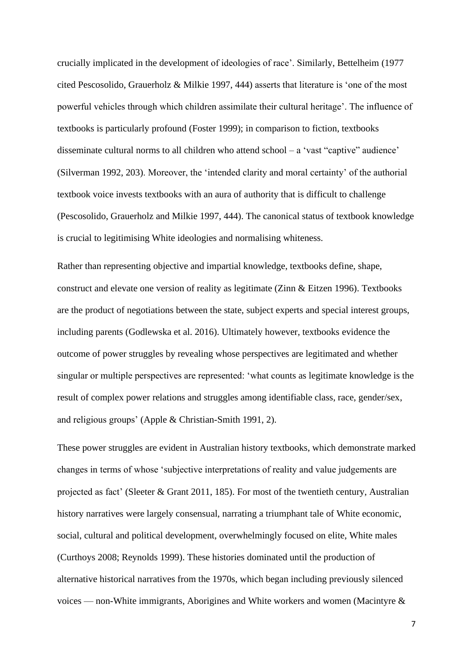crucially implicated in the development of ideologies of race'. Similarly, Bettelheim (1977 cited Pescosolido, Grauerholz & Milkie 1997, 444) asserts that literature is 'one of the most powerful vehicles through which children assimilate their cultural heritage'. The influence of textbooks is particularly profound (Foster 1999); in comparison to fiction, textbooks disseminate cultural norms to all children who attend school – a 'vast "captive" audience' (Silverman 1992, 203). Moreover, the 'intended clarity and moral certainty' of the authorial textbook voice invests textbooks with an aura of authority that is difficult to challenge (Pescosolido, Grauerholz and Milkie 1997, 444). The canonical status of textbook knowledge is crucial to legitimising White ideologies and normalising whiteness.

Rather than representing objective and impartial knowledge, textbooks define, shape, construct and elevate one version of reality as legitimate (Zinn & Eitzen 1996). Textbooks are the product of negotiations between the state, subject experts and special interest groups, including parents (Godlewska et al. 2016). Ultimately however, textbooks evidence the outcome of power struggles by revealing whose perspectives are legitimated and whether singular or multiple perspectives are represented: 'what counts as legitimate knowledge is the result of complex power relations and struggles among identifiable class, race, gender/sex, and religious groups' (Apple & Christian-Smith 1991, 2).

These power struggles are evident in Australian history textbooks, which demonstrate marked changes in terms of whose 'subjective interpretations of reality and value judgements are projected as fact' (Sleeter & Grant 2011, 185). For most of the twentieth century, Australian history narratives were largely consensual, narrating a triumphant tale of White economic, social, cultural and political development, overwhelmingly focused on elite, White males (Curthoys 2008; Reynolds 1999). These histories dominated until the production of alternative historical narratives from the 1970s, which began including previously silenced voices — non-White immigrants, Aborigines and White workers and women (Macintyre &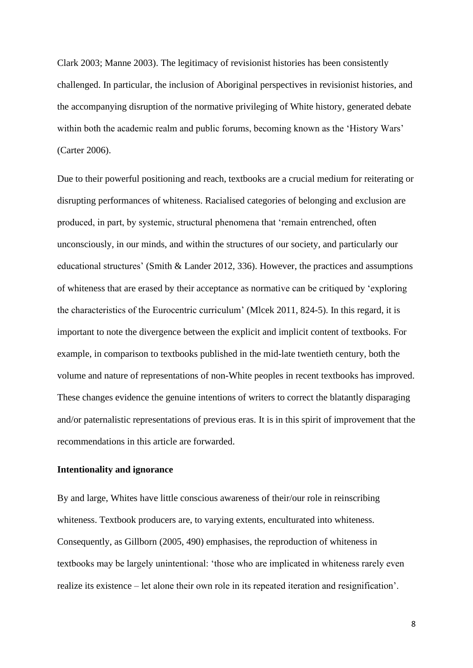Clark 2003; Manne 2003). The legitimacy of revisionist histories has been consistently challenged. In particular, the inclusion of Aboriginal perspectives in revisionist histories, and the accompanying disruption of the normative privileging of White history, generated debate within both the academic realm and public forums, becoming known as the 'History Wars' (Carter 2006).

Due to their powerful positioning and reach, textbooks are a crucial medium for reiterating or disrupting performances of whiteness. Racialised categories of belonging and exclusion are produced, in part, by systemic, structural phenomena that 'remain entrenched, often unconsciously, in our minds, and within the structures of our society, and particularly our educational structures' (Smith & Lander 2012, 336). However, the practices and assumptions of whiteness that are erased by their acceptance as normative can be critiqued by 'exploring the characteristics of the Eurocentric curriculum' (Mlcek 2011, 824-5). In this regard, it is important to note the divergence between the explicit and implicit content of textbooks. For example, in comparison to textbooks published in the mid-late twentieth century, both the volume and nature of representations of non-White peoples in recent textbooks has improved. These changes evidence the genuine intentions of writers to correct the blatantly disparaging and/or paternalistic representations of previous eras. It is in this spirit of improvement that the recommendations in this article are forwarded.

# **Intentionality and ignorance**

By and large, Whites have little conscious awareness of their/our role in reinscribing whiteness. Textbook producers are, to varying extents, enculturated into whiteness. Consequently, as Gillborn (2005, 490) emphasises, the reproduction of whiteness in textbooks may be largely unintentional: 'those who are implicated in whiteness rarely even realize its existence – let alone their own role in its repeated iteration and resignification'.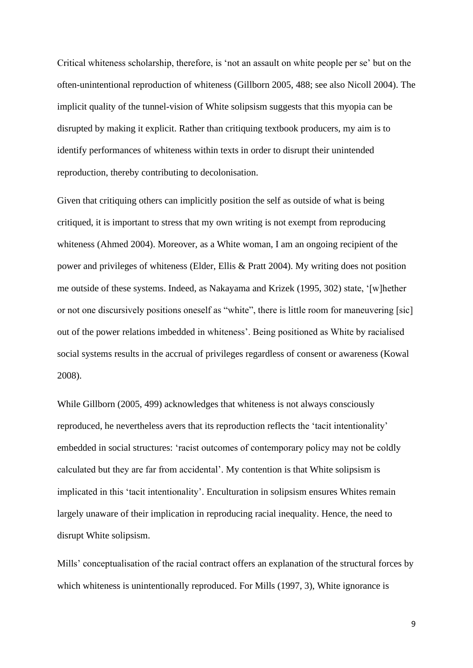Critical whiteness scholarship, therefore, is 'not an assault on white people per se' but on the often-unintentional reproduction of whiteness (Gillborn 2005, 488; see also Nicoll 2004). The implicit quality of the tunnel-vision of White solipsism suggests that this myopia can be disrupted by making it explicit. Rather than critiquing textbook producers, my aim is to identify performances of whiteness within texts in order to disrupt their unintended reproduction, thereby contributing to decolonisation.

Given that critiquing others can implicitly position the self as outside of what is being critiqued, it is important to stress that my own writing is not exempt from reproducing whiteness (Ahmed 2004). Moreover, as a White woman, I am an ongoing recipient of the power and privileges of whiteness (Elder, Ellis & Pratt 2004). My writing does not position me outside of these systems. Indeed, as Nakayama and Krizek (1995, 302) state, '[w]hether or not one discursively positions oneself as "white", there is little room for maneuvering [sic] out of the power relations imbedded in whiteness'. Being positioned as White by racialised social systems results in the accrual of privileges regardless of consent or awareness (Kowal 2008).

While Gillborn (2005, 499) acknowledges that whiteness is not always consciously reproduced, he nevertheless avers that its reproduction reflects the 'tacit intentionality' embedded in social structures: 'racist outcomes of contemporary policy may not be coldly calculated but they are far from accidental'. My contention is that White solipsism is implicated in this 'tacit intentionality'. Enculturation in solipsism ensures Whites remain largely unaware of their implication in reproducing racial inequality. Hence, the need to disrupt White solipsism.

Mills' conceptualisation of the racial contract offers an explanation of the structural forces by which whiteness is unintentionally reproduced. For Mills (1997, 3), White ignorance is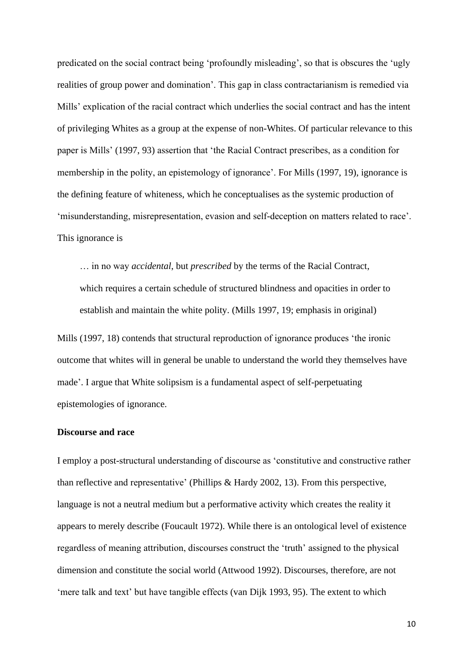predicated on the social contract being 'profoundly misleading', so that is obscures the 'ugly realities of group power and domination'. This gap in class contractarianism is remedied via Mills' explication of the racial contract which underlies the social contract and has the intent of privileging Whites as a group at the expense of non-Whites. Of particular relevance to this paper is Mills' (1997, 93) assertion that 'the Racial Contract prescribes, as a condition for membership in the polity, an epistemology of ignorance'. For Mills (1997, 19), ignorance is the defining feature of whiteness, which he conceptualises as the systemic production of 'misunderstanding, misrepresentation, evasion and self-deception on matters related to race'. This ignorance is

… in no way *accidental*, but *prescribed* by the terms of the Racial Contract, which requires a certain schedule of structured blindness and opacities in order to establish and maintain the white polity. (Mills 1997, 19; emphasis in original)

Mills (1997, 18) contends that structural reproduction of ignorance produces 'the ironic outcome that whites will in general be unable to understand the world they themselves have made'. I argue that White solipsism is a fundamental aspect of self-perpetuating epistemologies of ignorance.

#### **Discourse and race**

I employ a post-structural understanding of discourse as 'constitutive and constructive rather than reflective and representative' (Phillips & Hardy 2002, 13). From this perspective, language is not a neutral medium but a performative activity which creates the reality it appears to merely describe (Foucault 1972). While there is an ontological level of existence regardless of meaning attribution, discourses construct the 'truth' assigned to the physical dimension and constitute the social world (Attwood 1992). Discourses, therefore, are not 'mere talk and text' but have tangible effects (van Dijk 1993, 95). The extent to which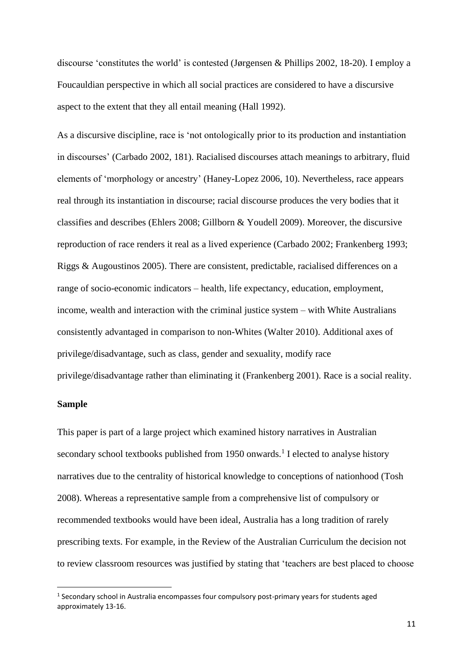discourse 'constitutes the world' is contested (Jørgensen & Phillips 2002, 18-20). I employ a Foucauldian perspective in which all social practices are considered to have a discursive aspect to the extent that they all entail meaning (Hall 1992).

As a discursive discipline, race is 'not ontologically prior to its production and instantiation in discourses' (Carbado 2002, 181). Racialised discourses attach meanings to arbitrary, fluid elements of 'morphology or ancestry' (Haney-Lopez 2006, 10). Nevertheless, race appears real through its instantiation in discourse; racial discourse produces the very bodies that it classifies and describes (Ehlers 2008; Gillborn & Youdell 2009). Moreover, the discursive reproduction of race renders it real as a lived experience (Carbado 2002; Frankenberg 1993; Riggs & Augoustinos 2005). There are consistent, predictable, racialised differences on a range of socio-economic indicators – health, life expectancy, education, employment, income, wealth and interaction with the criminal justice system – with White Australians consistently advantaged in comparison to non-Whites (Walter 2010). Additional axes of privilege/disadvantage, such as class, gender and sexuality, modify race privilege/disadvantage rather than eliminating it (Frankenberg 2001). Race is a social reality.

#### **Sample**

This paper is part of a large project which examined history narratives in Australian secondary school textbooks published from 1950 onwards.<sup>1</sup> I elected to analyse history narratives due to the centrality of historical knowledge to conceptions of nationhood (Tosh 2008). Whereas a representative sample from a comprehensive list of compulsory or recommended textbooks would have been ideal, Australia has a long tradition of rarely prescribing texts. For example, in the Review of the Australian Curriculum the decision not to review classroom resources was justified by stating that 'teachers are best placed to choose

<sup>&</sup>lt;sup>1</sup> Secondary school in Australia encompasses four compulsory post-primary years for students aged approximately 13-16.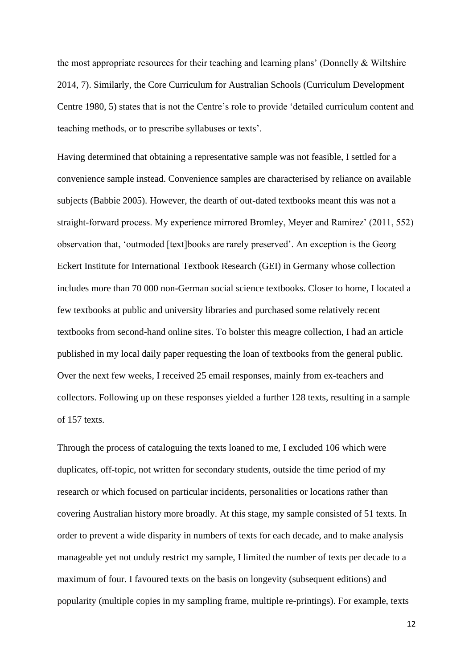the most appropriate resources for their teaching and learning plans' (Donnelly & Wiltshire 2014, 7). Similarly, the Core Curriculum for Australian Schools (Curriculum Development Centre 1980, 5) states that is not the Centre's role to provide 'detailed curriculum content and teaching methods, or to prescribe syllabuses or texts'.

Having determined that obtaining a representative sample was not feasible, I settled for a convenience sample instead. Convenience samples are characterised by reliance on available subjects (Babbie 2005). However, the dearth of out-dated textbooks meant this was not a straight-forward process. My experience mirrored Bromley, Meyer and Ramirez' (2011, 552) observation that, 'outmoded [text]books are rarely preserved'. An exception is the Georg Eckert Institute for International Textbook Research (GEI) in Germany whose collection includes more than 70 000 non-German social science textbooks. Closer to home, I located a few textbooks at public and university libraries and purchased some relatively recent textbooks from second-hand online sites. To bolster this meagre collection, I had an article published in my local daily paper requesting the loan of textbooks from the general public. Over the next few weeks, I received 25 email responses, mainly from ex-teachers and collectors. Following up on these responses yielded a further 128 texts, resulting in a sample of 157 texts.

Through the process of cataloguing the texts loaned to me, I excluded 106 which were duplicates, off-topic, not written for secondary students, outside the time period of my research or which focused on particular incidents, personalities or locations rather than covering Australian history more broadly. At this stage, my sample consisted of 51 texts. In order to prevent a wide disparity in numbers of texts for each decade, and to make analysis manageable yet not unduly restrict my sample, I limited the number of texts per decade to a maximum of four. I favoured texts on the basis on longevity (subsequent editions) and popularity (multiple copies in my sampling frame, multiple re-printings). For example, texts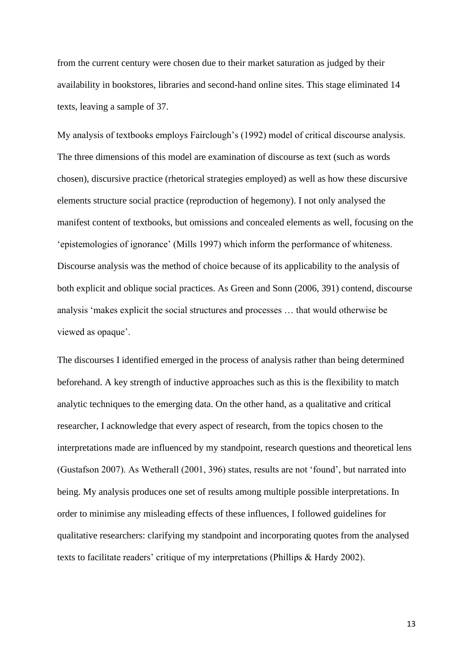from the current century were chosen due to their market saturation as judged by their availability in bookstores, libraries and second-hand online sites. This stage eliminated 14 texts, leaving a sample of 37.

My analysis of textbooks employs Fairclough's (1992) model of critical discourse analysis. The three dimensions of this model are examination of discourse as text (such as words chosen), discursive practice (rhetorical strategies employed) as well as how these discursive elements structure social practice (reproduction of hegemony). I not only analysed the manifest content of textbooks, but omissions and concealed elements as well, focusing on the 'epistemologies of ignorance' (Mills 1997) which inform the performance of whiteness. Discourse analysis was the method of choice because of its applicability to the analysis of both explicit and oblique social practices. As Green and Sonn (2006, 391) contend, discourse analysis 'makes explicit the social structures and processes … that would otherwise be viewed as opaque'.

The discourses I identified emerged in the process of analysis rather than being determined beforehand. A key strength of inductive approaches such as this is the flexibility to match analytic techniques to the emerging data. On the other hand, as a qualitative and critical researcher, I acknowledge that every aspect of research, from the topics chosen to the interpretations made are influenced by my standpoint, research questions and theoretical lens (Gustafson 2007). As Wetherall (2001, 396) states, results are not 'found', but narrated into being. My analysis produces one set of results among multiple possible interpretations. In order to minimise any misleading effects of these influences, I followed guidelines for qualitative researchers: clarifying my standpoint and incorporating quotes from the analysed texts to facilitate readers' critique of my interpretations (Phillips & Hardy 2002).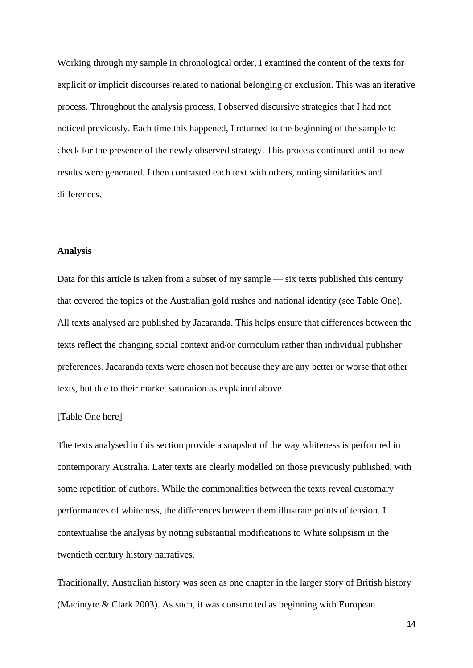Working through my sample in chronological order, I examined the content of the texts for explicit or implicit discourses related to national belonging or exclusion. This was an iterative process. Throughout the analysis process, I observed discursive strategies that I had not noticed previously. Each time this happened, I returned to the beginning of the sample to check for the presence of the newly observed strategy. This process continued until no new results were generated. I then contrasted each text with others, noting similarities and differences.

#### **Analysis**

Data for this article is taken from a subset of my sample — six texts published this century that covered the topics of the Australian gold rushes and national identity (see Table One). All texts analysed are published by Jacaranda. This helps ensure that differences between the texts reflect the changing social context and/or curriculum rather than individual publisher preferences. Jacaranda texts were chosen not because they are any better or worse that other texts, but due to their market saturation as explained above.

#### [Table One here]

The texts analysed in this section provide a snapshot of the way whiteness is performed in contemporary Australia. Later texts are clearly modelled on those previously published, with some repetition of authors. While the commonalities between the texts reveal customary performances of whiteness, the differences between them illustrate points of tension. I contextualise the analysis by noting substantial modifications to White solipsism in the twentieth century history narratives.

Traditionally, Australian history was seen as one chapter in the larger story of British history (Macintyre & Clark 2003). As such, it was constructed as beginning with European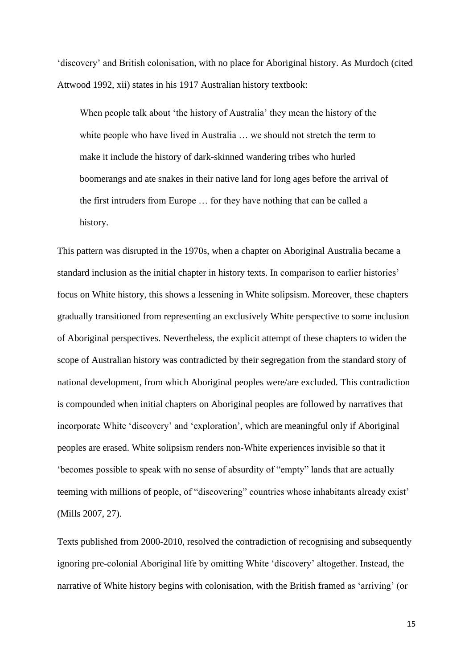'discovery' and British colonisation, with no place for Aboriginal history. As Murdoch (cited Attwood 1992, xii) states in his 1917 Australian history textbook:

When people talk about 'the history of Australia' they mean the history of the white people who have lived in Australia ... we should not stretch the term to make it include the history of dark-skinned wandering tribes who hurled boomerangs and ate snakes in their native land for long ages before the arrival of the first intruders from Europe … for they have nothing that can be called a history.

This pattern was disrupted in the 1970s, when a chapter on Aboriginal Australia became a standard inclusion as the initial chapter in history texts. In comparison to earlier histories' focus on White history, this shows a lessening in White solipsism. Moreover, these chapters gradually transitioned from representing an exclusively White perspective to some inclusion of Aboriginal perspectives. Nevertheless, the explicit attempt of these chapters to widen the scope of Australian history was contradicted by their segregation from the standard story of national development, from which Aboriginal peoples were/are excluded. This contradiction is compounded when initial chapters on Aboriginal peoples are followed by narratives that incorporate White 'discovery' and 'exploration', which are meaningful only if Aboriginal peoples are erased. White solipsism renders non-White experiences invisible so that it 'becomes possible to speak with no sense of absurdity of "empty" lands that are actually teeming with millions of people, of "discovering" countries whose inhabitants already exist' (Mills 2007, 27).

Texts published from 2000-2010, resolved the contradiction of recognising and subsequently ignoring pre-colonial Aboriginal life by omitting White 'discovery' altogether. Instead, the narrative of White history begins with colonisation, with the British framed as 'arriving' (or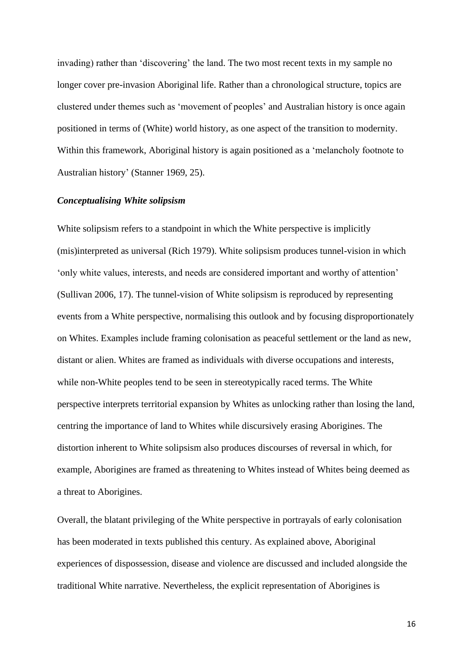invading) rather than 'discovering' the land. The two most recent texts in my sample no longer cover pre-invasion Aboriginal life. Rather than a chronological structure, topics are clustered under themes such as 'movement of peoples' and Australian history is once again positioned in terms of (White) world history, as one aspect of the transition to modernity. Within this framework, Aboriginal history is again positioned as a 'melancholy footnote to Australian history' (Stanner 1969, 25).

#### *Conceptualising White solipsism*

White solipsism refers to a standpoint in which the White perspective is implicitly (mis)interpreted as universal (Rich 1979). White solipsism produces tunnel-vision in which 'only white values, interests, and needs are considered important and worthy of attention' (Sullivan 2006, 17). The tunnel-vision of White solipsism is reproduced by representing events from a White perspective, normalising this outlook and by focusing disproportionately on Whites. Examples include framing colonisation as peaceful settlement or the land as new, distant or alien. Whites are framed as individuals with diverse occupations and interests, while non-White peoples tend to be seen in stereotypically raced terms. The White perspective interprets territorial expansion by Whites as unlocking rather than losing the land, centring the importance of land to Whites while discursively erasing Aborigines. The distortion inherent to White solipsism also produces discourses of reversal in which, for example, Aborigines are framed as threatening to Whites instead of Whites being deemed as a threat to Aborigines.

Overall, the blatant privileging of the White perspective in portrayals of early colonisation has been moderated in texts published this century. As explained above, Aboriginal experiences of dispossession, disease and violence are discussed and included alongside the traditional White narrative. Nevertheless, the explicit representation of Aborigines is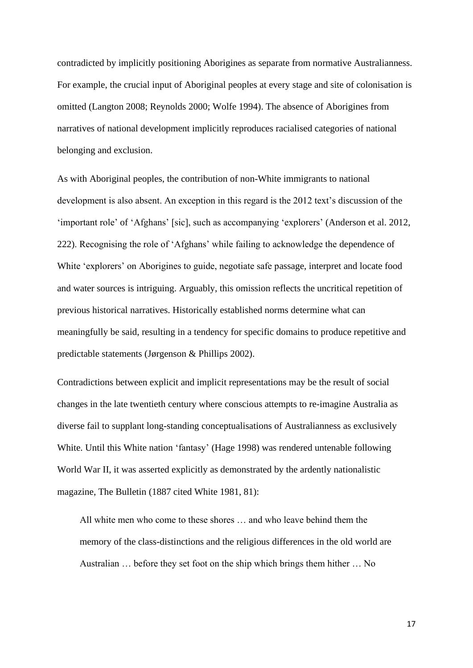contradicted by implicitly positioning Aborigines as separate from normative Australianness. For example, the crucial input of Aboriginal peoples at every stage and site of colonisation is omitted (Langton 2008; Reynolds 2000; Wolfe 1994). The absence of Aborigines from narratives of national development implicitly reproduces racialised categories of national belonging and exclusion.

As with Aboriginal peoples, the contribution of non-White immigrants to national development is also absent. An exception in this regard is the 2012 text's discussion of the 'important role' of 'Afghans' [sic], such as accompanying 'explorers' (Anderson et al. 2012, 222). Recognising the role of 'Afghans' while failing to acknowledge the dependence of White 'explorers' on Aborigines to guide, negotiate safe passage, interpret and locate food and water sources is intriguing. Arguably, this omission reflects the uncritical repetition of previous historical narratives. Historically established norms determine what can meaningfully be said, resulting in a tendency for specific domains to produce repetitive and predictable statements (Jørgenson & Phillips 2002).

Contradictions between explicit and implicit representations may be the result of social changes in the late twentieth century where conscious attempts to re-imagine Australia as diverse fail to supplant long-standing conceptualisations of Australianness as exclusively White. Until this White nation 'fantasy' (Hage 1998) was rendered untenable following World War II, it was asserted explicitly as demonstrated by the ardently nationalistic magazine, The Bulletin (1887 cited White 1981, 81):

All white men who come to these shores … and who leave behind them the memory of the class-distinctions and the religious differences in the old world are Australian … before they set foot on the ship which brings them hither … No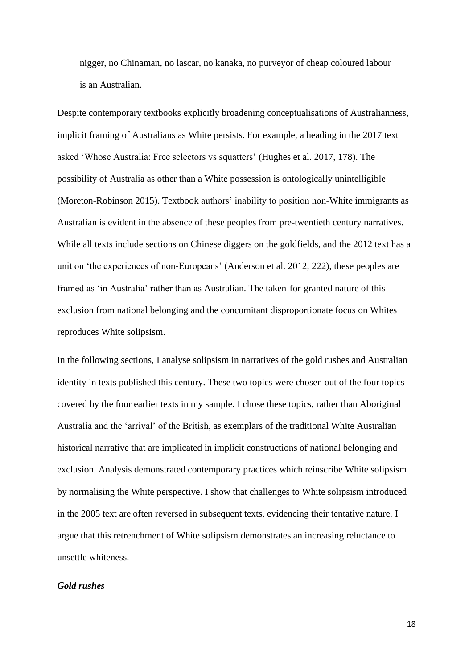nigger, no Chinaman, no lascar, no kanaka, no purveyor of cheap coloured labour is an Australian.

Despite contemporary textbooks explicitly broadening conceptualisations of Australianness, implicit framing of Australians as White persists. For example, a heading in the 2017 text asked 'Whose Australia: Free selectors vs squatters' (Hughes et al. 2017, 178). The possibility of Australia as other than a White possession is ontologically unintelligible (Moreton-Robinson 2015). Textbook authors' inability to position non-White immigrants as Australian is evident in the absence of these peoples from pre-twentieth century narratives. While all texts include sections on Chinese diggers on the goldfields, and the 2012 text has a unit on 'the experiences of non-Europeans' (Anderson et al. 2012, 222), these peoples are framed as 'in Australia' rather than as Australian. The taken-for-granted nature of this exclusion from national belonging and the concomitant disproportionate focus on Whites reproduces White solipsism.

In the following sections, I analyse solipsism in narratives of the gold rushes and Australian identity in texts published this century. These two topics were chosen out of the four topics covered by the four earlier texts in my sample. I chose these topics, rather than Aboriginal Australia and the 'arrival' of the British, as exemplars of the traditional White Australian historical narrative that are implicated in implicit constructions of national belonging and exclusion. Analysis demonstrated contemporary practices which reinscribe White solipsism by normalising the White perspective. I show that challenges to White solipsism introduced in the 2005 text are often reversed in subsequent texts, evidencing their tentative nature. I argue that this retrenchment of White solipsism demonstrates an increasing reluctance to unsettle whiteness.

# *Gold rushes*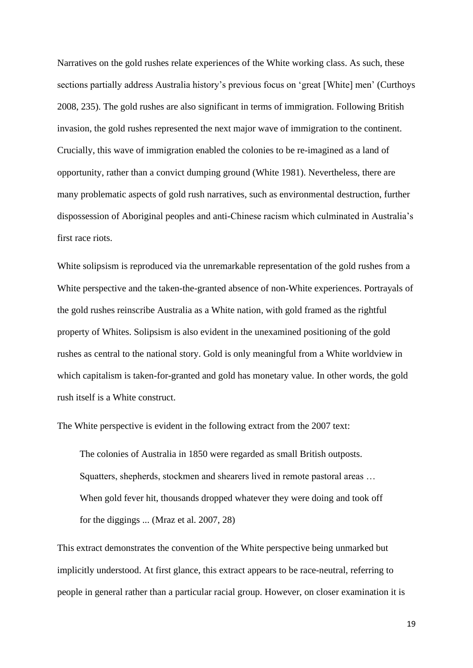Narratives on the gold rushes relate experiences of the White working class. As such, these sections partially address Australia history's previous focus on 'great [White] men' (Curthoys 2008, 235). The gold rushes are also significant in terms of immigration. Following British invasion, the gold rushes represented the next major wave of immigration to the continent. Crucially, this wave of immigration enabled the colonies to be re-imagined as a land of opportunity, rather than a convict dumping ground (White 1981). Nevertheless, there are many problematic aspects of gold rush narratives, such as environmental destruction, further dispossession of Aboriginal peoples and anti-Chinese racism which culminated in Australia's first race riots.

White solipsism is reproduced via the unremarkable representation of the gold rushes from a White perspective and the taken-the-granted absence of non-White experiences. Portrayals of the gold rushes reinscribe Australia as a White nation, with gold framed as the rightful property of Whites. Solipsism is also evident in the unexamined positioning of the gold rushes as central to the national story. Gold is only meaningful from a White worldview in which capitalism is taken-for-granted and gold has monetary value. In other words, the gold rush itself is a White construct.

The White perspective is evident in the following extract from the 2007 text:

The colonies of Australia in 1850 were regarded as small British outposts. Squatters, shepherds, stockmen and shearers lived in remote pastoral areas … When gold fever hit, thousands dropped whatever they were doing and took off for the diggings ... (Mraz et al. 2007, 28)

This extract demonstrates the convention of the White perspective being unmarked but implicitly understood. At first glance, this extract appears to be race-neutral, referring to people in general rather than a particular racial group. However, on closer examination it is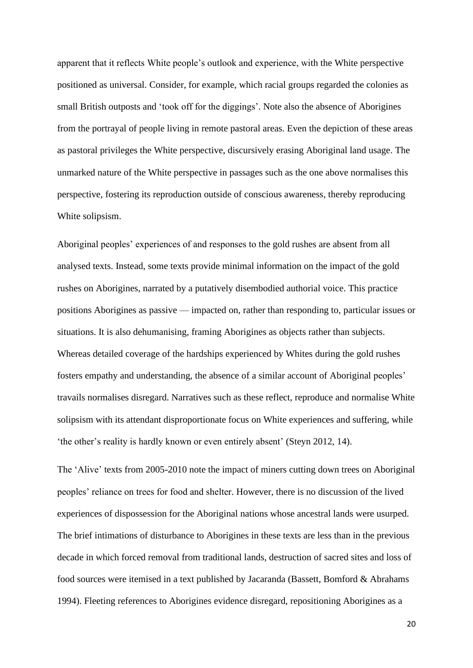apparent that it reflects White people's outlook and experience, with the White perspective positioned as universal. Consider, for example, which racial groups regarded the colonies as small British outposts and 'took off for the diggings'. Note also the absence of Aborigines from the portrayal of people living in remote pastoral areas. Even the depiction of these areas as pastoral privileges the White perspective, discursively erasing Aboriginal land usage. The unmarked nature of the White perspective in passages such as the one above normalises this perspective, fostering its reproduction outside of conscious awareness, thereby reproducing White solipsism.

Aboriginal peoples' experiences of and responses to the gold rushes are absent from all analysed texts. Instead, some texts provide minimal information on the impact of the gold rushes on Aborigines, narrated by a putatively disembodied authorial voice. This practice positions Aborigines as passive — impacted on, rather than responding to, particular issues or situations. It is also dehumanising, framing Aborigines as objects rather than subjects. Whereas detailed coverage of the hardships experienced by Whites during the gold rushes fosters empathy and understanding, the absence of a similar account of Aboriginal peoples' travails normalises disregard. Narratives such as these reflect, reproduce and normalise White solipsism with its attendant disproportionate focus on White experiences and suffering, while 'the other's reality is hardly known or even entirely absent' (Steyn 2012, 14).

The 'Alive' texts from 2005-2010 note the impact of miners cutting down trees on Aboriginal peoples' reliance on trees for food and shelter. However, there is no discussion of the lived experiences of dispossession for the Aboriginal nations whose ancestral lands were usurped. The brief intimations of disturbance to Aborigines in these texts are less than in the previous decade in which forced removal from traditional lands, destruction of sacred sites and loss of food sources were itemised in a text published by Jacaranda (Bassett, Bomford & Abrahams 1994). Fleeting references to Aborigines evidence disregard, repositioning Aborigines as a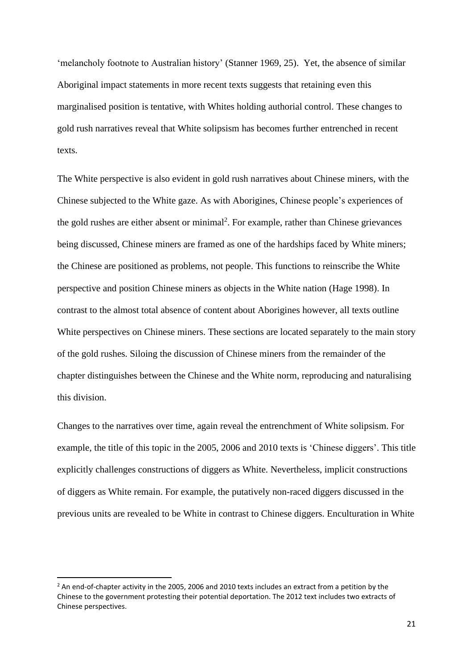'melancholy footnote to Australian history' (Stanner 1969, 25). Yet, the absence of similar Aboriginal impact statements in more recent texts suggests that retaining even this marginalised position is tentative, with Whites holding authorial control. These changes to gold rush narratives reveal that White solipsism has becomes further entrenched in recent texts.

The White perspective is also evident in gold rush narratives about Chinese miners, with the Chinese subjected to the White gaze. As with Aborigines, Chinese people's experiences of the gold rushes are either absent or minimal<sup>2</sup>. For example, rather than Chinese grievances being discussed, Chinese miners are framed as one of the hardships faced by White miners; the Chinese are positioned as problems, not people. This functions to reinscribe the White perspective and position Chinese miners as objects in the White nation (Hage 1998). In contrast to the almost total absence of content about Aborigines however, all texts outline White perspectives on Chinese miners. These sections are located separately to the main story of the gold rushes. Siloing the discussion of Chinese miners from the remainder of the chapter distinguishes between the Chinese and the White norm, reproducing and naturalising this division.

Changes to the narratives over time, again reveal the entrenchment of White solipsism. For example, the title of this topic in the 2005, 2006 and 2010 texts is 'Chinese diggers'. This title explicitly challenges constructions of diggers as White. Nevertheless, implicit constructions of diggers as White remain. For example, the putatively non-raced diggers discussed in the previous units are revealed to be White in contrast to Chinese diggers. Enculturation in White

 $<sup>2</sup>$  An end-of-chapter activity in the 2005, 2006 and 2010 texts includes an extract from a petition by the</sup> Chinese to the government protesting their potential deportation. The 2012 text includes two extracts of Chinese perspectives.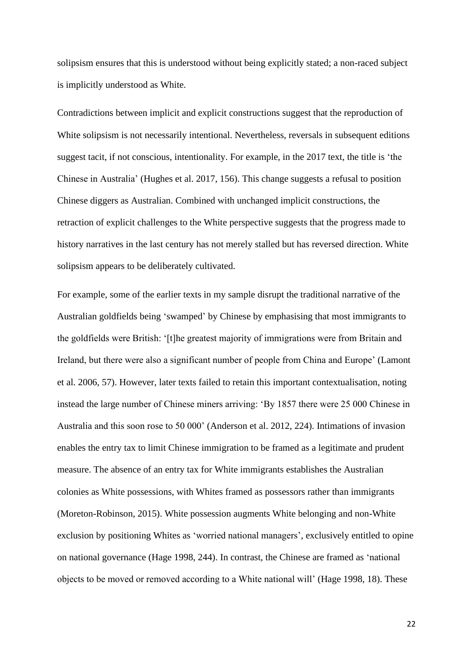solipsism ensures that this is understood without being explicitly stated; a non-raced subject is implicitly understood as White.

Contradictions between implicit and explicit constructions suggest that the reproduction of White solipsism is not necessarily intentional. Nevertheless, reversals in subsequent editions suggest tacit, if not conscious, intentionality. For example, in the 2017 text, the title is 'the Chinese in Australia' (Hughes et al. 2017, 156). This change suggests a refusal to position Chinese diggers as Australian. Combined with unchanged implicit constructions, the retraction of explicit challenges to the White perspective suggests that the progress made to history narratives in the last century has not merely stalled but has reversed direction. White solipsism appears to be deliberately cultivated.

For example, some of the earlier texts in my sample disrupt the traditional narrative of the Australian goldfields being 'swamped' by Chinese by emphasising that most immigrants to the goldfields were British: '[t]he greatest majority of immigrations were from Britain and Ireland, but there were also a significant number of people from China and Europe' (Lamont et al. 2006, 57). However, later texts failed to retain this important contextualisation, noting instead the large number of Chinese miners arriving: 'By 1857 there were 25 000 Chinese in Australia and this soon rose to 50 000' (Anderson et al. 2012, 224). Intimations of invasion enables the entry tax to limit Chinese immigration to be framed as a legitimate and prudent measure. The absence of an entry tax for White immigrants establishes the Australian colonies as White possessions, with Whites framed as possessors rather than immigrants (Moreton-Robinson, 2015). White possession augments White belonging and non-White exclusion by positioning Whites as 'worried national managers', exclusively entitled to opine on national governance (Hage 1998, 244). In contrast, the Chinese are framed as 'national objects to be moved or removed according to a White national will' (Hage 1998, 18). These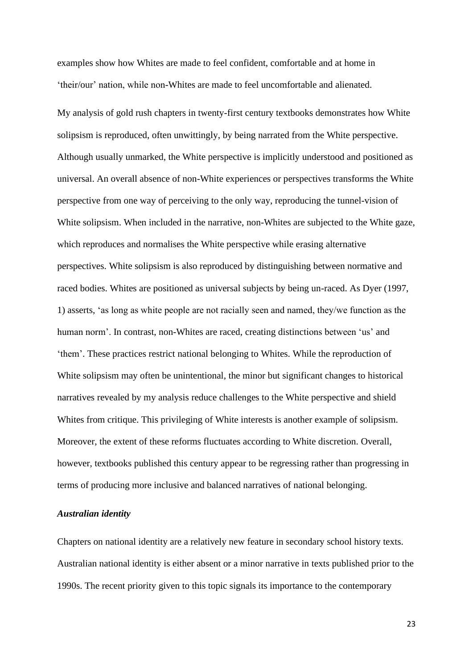examples show how Whites are made to feel confident, comfortable and at home in 'their/our' nation, while non-Whites are made to feel uncomfortable and alienated.

My analysis of gold rush chapters in twenty-first century textbooks demonstrates how White solipsism is reproduced, often unwittingly, by being narrated from the White perspective. Although usually unmarked, the White perspective is implicitly understood and positioned as universal. An overall absence of non-White experiences or perspectives transforms the White perspective from one way of perceiving to the only way, reproducing the tunnel-vision of White solipsism. When included in the narrative, non-Whites are subjected to the White gaze, which reproduces and normalises the White perspective while erasing alternative perspectives. White solipsism is also reproduced by distinguishing between normative and raced bodies. Whites are positioned as universal subjects by being un-raced. As Dyer (1997, 1) asserts, 'as long as white people are not racially seen and named, they/we function as the human norm'. In contrast, non-Whites are raced, creating distinctions between 'us' and 'them'. These practices restrict national belonging to Whites. While the reproduction of White solipsism may often be unintentional, the minor but significant changes to historical narratives revealed by my analysis reduce challenges to the White perspective and shield Whites from critique. This privileging of White interests is another example of solipsism. Moreover, the extent of these reforms fluctuates according to White discretion. Overall, however, textbooks published this century appear to be regressing rather than progressing in terms of producing more inclusive and balanced narratives of national belonging.

#### *Australian identity*

Chapters on national identity are a relatively new feature in secondary school history texts. Australian national identity is either absent or a minor narrative in texts published prior to the 1990s. The recent priority given to this topic signals its importance to the contemporary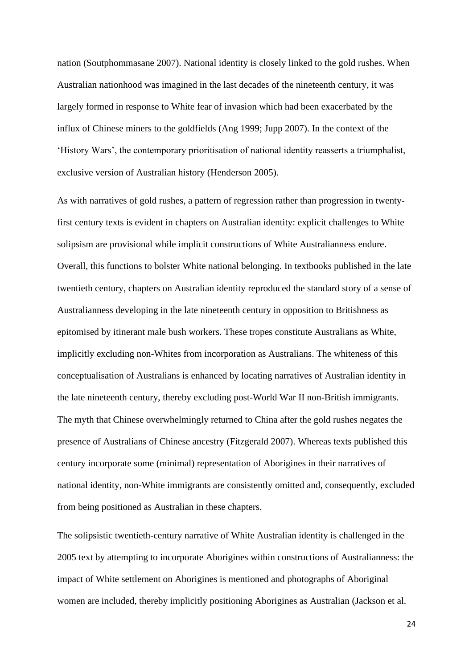nation (Soutphommasane 2007). National identity is closely linked to the gold rushes. When Australian nationhood was imagined in the last decades of the nineteenth century, it was largely formed in response to White fear of invasion which had been exacerbated by the influx of Chinese miners to the goldfields (Ang 1999; Jupp 2007). In the context of the 'History Wars', the contemporary prioritisation of national identity reasserts a triumphalist, exclusive version of Australian history (Henderson 2005).

As with narratives of gold rushes, a pattern of regression rather than progression in twentyfirst century texts is evident in chapters on Australian identity: explicit challenges to White solipsism are provisional while implicit constructions of White Australianness endure. Overall, this functions to bolster White national belonging. In textbooks published in the late twentieth century, chapters on Australian identity reproduced the standard story of a sense of Australianness developing in the late nineteenth century in opposition to Britishness as epitomised by itinerant male bush workers. These tropes constitute Australians as White, implicitly excluding non-Whites from incorporation as Australians. The whiteness of this conceptualisation of Australians is enhanced by locating narratives of Australian identity in the late nineteenth century, thereby excluding post-World War II non-British immigrants. The myth that Chinese overwhelmingly returned to China after the gold rushes negates the presence of Australians of Chinese ancestry (Fitzgerald 2007). Whereas texts published this century incorporate some (minimal) representation of Aborigines in their narratives of national identity, non-White immigrants are consistently omitted and, consequently, excluded from being positioned as Australian in these chapters.

The solipsistic twentieth-century narrative of White Australian identity is challenged in the 2005 text by attempting to incorporate Aborigines within constructions of Australianness: the impact of White settlement on Aborigines is mentioned and photographs of Aboriginal women are included, thereby implicitly positioning Aborigines as Australian (Jackson et al.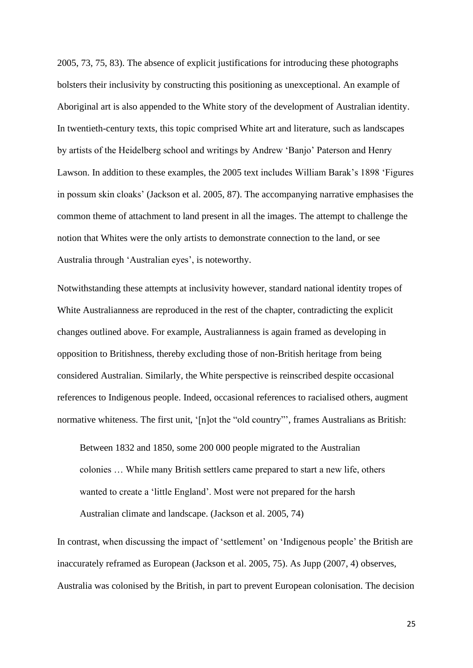2005, 73, 75, 83). The absence of explicit justifications for introducing these photographs bolsters their inclusivity by constructing this positioning as unexceptional. An example of Aboriginal art is also appended to the White story of the development of Australian identity. In twentieth-century texts, this topic comprised White art and literature, such as landscapes by artists of the Heidelberg school and writings by Andrew 'Banjo' Paterson and Henry Lawson. In addition to these examples, the 2005 text includes William Barak's 1898 'Figures in possum skin cloaks' (Jackson et al. 2005, 87). The accompanying narrative emphasises the common theme of attachment to land present in all the images. The attempt to challenge the notion that Whites were the only artists to demonstrate connection to the land, or see Australia through 'Australian eyes', is noteworthy.

Notwithstanding these attempts at inclusivity however, standard national identity tropes of White Australianness are reproduced in the rest of the chapter, contradicting the explicit changes outlined above. For example, Australianness is again framed as developing in opposition to Britishness, thereby excluding those of non-British heritage from being considered Australian. Similarly, the White perspective is reinscribed despite occasional references to Indigenous people. Indeed, occasional references to racialised others, augment normative whiteness. The first unit, '[n]ot the "old country"', frames Australians as British:

Between 1832 and 1850, some 200 000 people migrated to the Australian colonies … While many British settlers came prepared to start a new life, others wanted to create a 'little England'. Most were not prepared for the harsh Australian climate and landscape. (Jackson et al. 2005, 74)

In contrast, when discussing the impact of 'settlement' on 'Indigenous people' the British are inaccurately reframed as European (Jackson et al. 2005, 75). As Jupp (2007, 4) observes, Australia was colonised by the British, in part to prevent European colonisation. The decision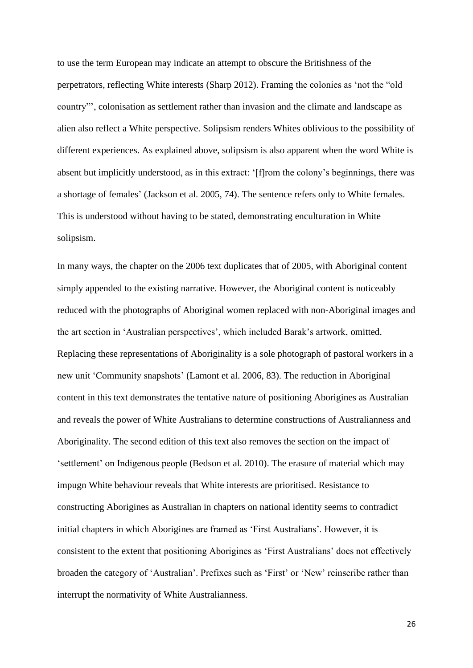to use the term European may indicate an attempt to obscure the Britishness of the perpetrators, reflecting White interests (Sharp 2012). Framing the colonies as 'not the "old country"', colonisation as settlement rather than invasion and the climate and landscape as alien also reflect a White perspective. Solipsism renders Whites oblivious to the possibility of different experiences. As explained above, solipsism is also apparent when the word White is absent but implicitly understood, as in this extract: '[f]rom the colony's beginnings, there was a shortage of females' (Jackson et al. 2005, 74). The sentence refers only to White females. This is understood without having to be stated, demonstrating enculturation in White solipsism.

In many ways, the chapter on the 2006 text duplicates that of 2005, with Aboriginal content simply appended to the existing narrative. However, the Aboriginal content is noticeably reduced with the photographs of Aboriginal women replaced with non-Aboriginal images and the art section in 'Australian perspectives', which included Barak's artwork, omitted. Replacing these representations of Aboriginality is a sole photograph of pastoral workers in a new unit 'Community snapshots' (Lamont et al. 2006, 83). The reduction in Aboriginal content in this text demonstrates the tentative nature of positioning Aborigines as Australian and reveals the power of White Australians to determine constructions of Australianness and Aboriginality. The second edition of this text also removes the section on the impact of 'settlement' on Indigenous people (Bedson et al. 2010). The erasure of material which may impugn White behaviour reveals that White interests are prioritised. Resistance to constructing Aborigines as Australian in chapters on national identity seems to contradict initial chapters in which Aborigines are framed as 'First Australians'. However, it is consistent to the extent that positioning Aborigines as 'First Australians' does not effectively broaden the category of 'Australian'. Prefixes such as 'First' or 'New' reinscribe rather than interrupt the normativity of White Australianness.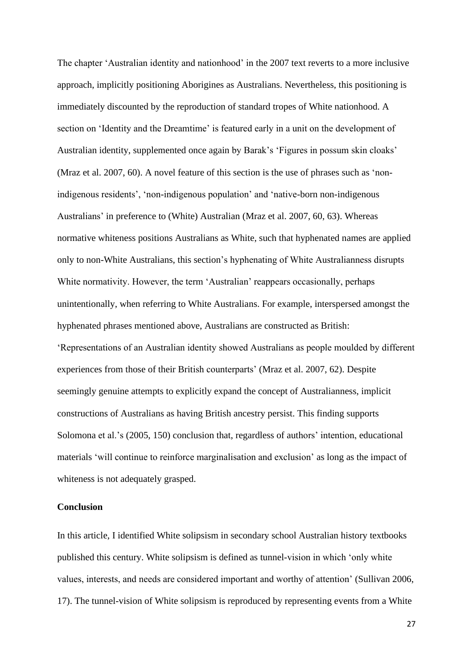The chapter 'Australian identity and nationhood' in the 2007 text reverts to a more inclusive approach, implicitly positioning Aborigines as Australians. Nevertheless, this positioning is immediately discounted by the reproduction of standard tropes of White nationhood. A section on 'Identity and the Dreamtime' is featured early in a unit on the development of Australian identity, supplemented once again by Barak's 'Figures in possum skin cloaks' (Mraz et al. 2007, 60). A novel feature of this section is the use of phrases such as 'nonindigenous residents', 'non-indigenous population' and 'native-born non-indigenous Australians' in preference to (White) Australian (Mraz et al. 2007, 60, 63). Whereas normative whiteness positions Australians as White, such that hyphenated names are applied only to non-White Australians, this section's hyphenating of White Australianness disrupts White normativity. However, the term 'Australian' reappears occasionally, perhaps unintentionally, when referring to White Australians. For example, interspersed amongst the hyphenated phrases mentioned above, Australians are constructed as British: 'Representations of an Australian identity showed Australians as people moulded by different experiences from those of their British counterparts' (Mraz et al. 2007, 62). Despite seemingly genuine attempts to explicitly expand the concept of Australianness, implicit constructions of Australians as having British ancestry persist. This finding supports Solomona et al.'s (2005, 150) conclusion that, regardless of authors' intention, educational materials 'will continue to reinforce marginalisation and exclusion' as long as the impact of whiteness is not adequately grasped.

# **Conclusion**

In this article, I identified White solipsism in secondary school Australian history textbooks published this century. White solipsism is defined as tunnel-vision in which 'only white values, interests, and needs are considered important and worthy of attention' (Sullivan 2006, 17). The tunnel-vision of White solipsism is reproduced by representing events from a White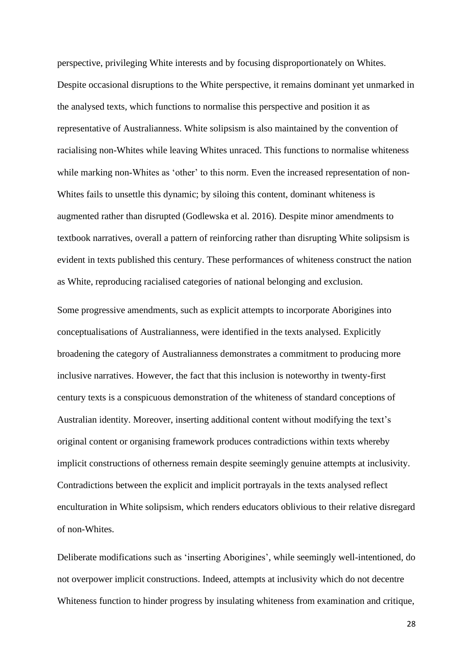perspective, privileging White interests and by focusing disproportionately on Whites. Despite occasional disruptions to the White perspective, it remains dominant yet unmarked in the analysed texts, which functions to normalise this perspective and position it as representative of Australianness. White solipsism is also maintained by the convention of racialising non-Whites while leaving Whites unraced. This functions to normalise whiteness while marking non-Whites as 'other' to this norm. Even the increased representation of non-Whites fails to unsettle this dynamic; by siloing this content, dominant whiteness is augmented rather than disrupted (Godlewska et al. 2016). Despite minor amendments to textbook narratives, overall a pattern of reinforcing rather than disrupting White solipsism is evident in texts published this century. These performances of whiteness construct the nation as White, reproducing racialised categories of national belonging and exclusion.

Some progressive amendments, such as explicit attempts to incorporate Aborigines into conceptualisations of Australianness, were identified in the texts analysed. Explicitly broadening the category of Australianness demonstrates a commitment to producing more inclusive narratives. However, the fact that this inclusion is noteworthy in twenty-first century texts is a conspicuous demonstration of the whiteness of standard conceptions of Australian identity. Moreover, inserting additional content without modifying the text's original content or organising framework produces contradictions within texts whereby implicit constructions of otherness remain despite seemingly genuine attempts at inclusivity. Contradictions between the explicit and implicit portrayals in the texts analysed reflect enculturation in White solipsism, which renders educators oblivious to their relative disregard of non-Whites.

Deliberate modifications such as 'inserting Aborigines', while seemingly well-intentioned, do not overpower implicit constructions. Indeed, attempts at inclusivity which do not decentre Whiteness function to hinder progress by insulating whiteness from examination and critique,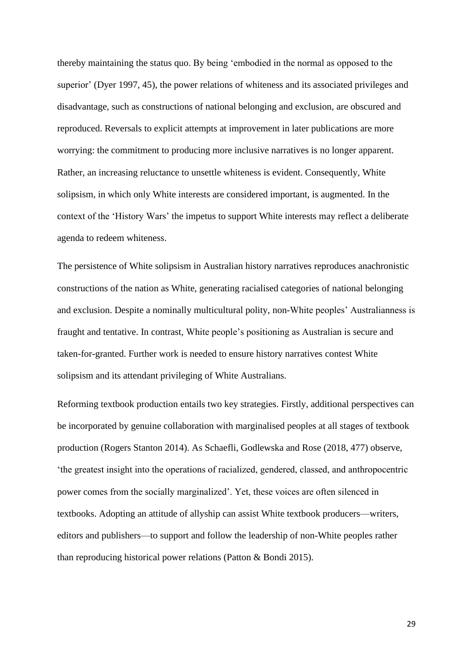thereby maintaining the status quo. By being 'embodied in the normal as opposed to the superior' (Dyer 1997, 45), the power relations of whiteness and its associated privileges and disadvantage, such as constructions of national belonging and exclusion, are obscured and reproduced. Reversals to explicit attempts at improvement in later publications are more worrying: the commitment to producing more inclusive narratives is no longer apparent. Rather, an increasing reluctance to unsettle whiteness is evident. Consequently, White solipsism, in which only White interests are considered important, is augmented. In the context of the 'History Wars' the impetus to support White interests may reflect a deliberate agenda to redeem whiteness.

The persistence of White solipsism in Australian history narratives reproduces anachronistic constructions of the nation as White, generating racialised categories of national belonging and exclusion. Despite a nominally multicultural polity, non-White peoples' Australianness is fraught and tentative. In contrast, White people's positioning as Australian is secure and taken-for-granted. Further work is needed to ensure history narratives contest White solipsism and its attendant privileging of White Australians.

Reforming textbook production entails two key strategies. Firstly, additional perspectives can be incorporated by genuine collaboration with marginalised peoples at all stages of textbook production (Rogers Stanton 2014). As Schaefli, Godlewska and Rose (2018, 477) observe, 'the greatest insight into the operations of racialized, gendered, classed, and anthropocentric power comes from the socially marginalized'. Yet, these voices are often silenced in textbooks. Adopting an attitude of allyship can assist White textbook producers—writers, editors and publishers—to support and follow the leadership of non-White peoples rather than reproducing historical power relations (Patton & Bondi 2015).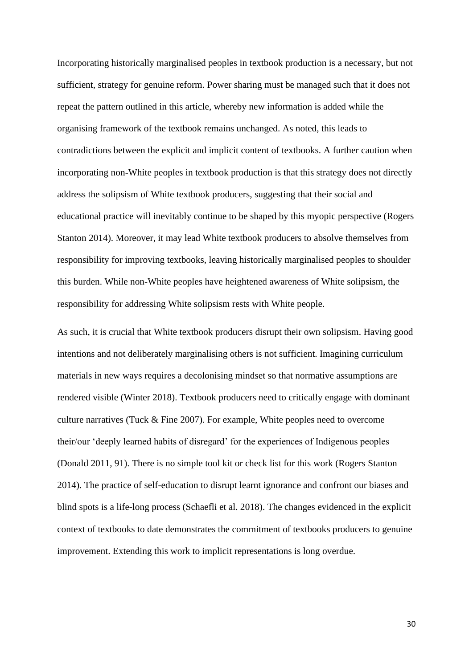Incorporating historically marginalised peoples in textbook production is a necessary, but not sufficient, strategy for genuine reform. Power sharing must be managed such that it does not repeat the pattern outlined in this article, whereby new information is added while the organising framework of the textbook remains unchanged. As noted, this leads to contradictions between the explicit and implicit content of textbooks. A further caution when incorporating non-White peoples in textbook production is that this strategy does not directly address the solipsism of White textbook producers, suggesting that their social and educational practice will inevitably continue to be shaped by this myopic perspective (Rogers Stanton 2014). Moreover, it may lead White textbook producers to absolve themselves from responsibility for improving textbooks, leaving historically marginalised peoples to shoulder this burden. While non-White peoples have heightened awareness of White solipsism, the responsibility for addressing White solipsism rests with White people.

As such, it is crucial that White textbook producers disrupt their own solipsism. Having good intentions and not deliberately marginalising others is not sufficient. Imagining curriculum materials in new ways requires a decolonising mindset so that normative assumptions are rendered visible (Winter 2018). Textbook producers need to critically engage with dominant culture narratives (Tuck & Fine 2007). For example, White peoples need to overcome their/our 'deeply learned habits of disregard' for the experiences of Indigenous peoples (Donald 2011, 91). There is no simple tool kit or check list for this work (Rogers Stanton 2014). The practice of self-education to disrupt learnt ignorance and confront our biases and blind spots is a life-long process (Schaefli et al. 2018). The changes evidenced in the explicit context of textbooks to date demonstrates the commitment of textbooks producers to genuine improvement. Extending this work to implicit representations is long overdue.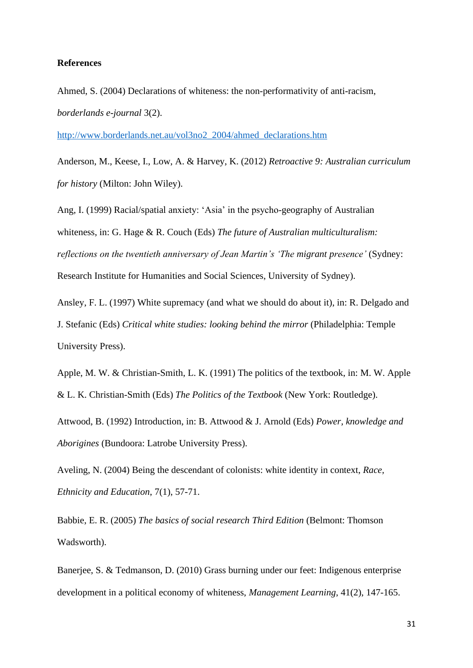#### **References**

Ahmed, S. (2004) Declarations of whiteness: the non-performativity of anti-racism, *borderlands e-journal* 3(2).

[http://www.borderlands.net.au/vol3no2\\_2004/ahmed\\_declarations.htm](http://www.borderlands.net.au/vol3no2_2004/ahmed_declarations.htm)

Anderson, M., Keese, I., Low, A. & Harvey, K. (2012) *Retroactive 9: Australian curriculum for history* (Milton: John Wiley).

Ang, I. (1999) Racial/spatial anxiety: 'Asia' in the psycho-geography of Australian whiteness, in: G. Hage & R. Couch (Eds) *The future of Australian multiculturalism: reflections on the twentieth anniversary of Jean Martin's 'The migrant presence'* (Sydney: Research Institute for Humanities and Social Sciences, University of Sydney).

Ansley, F. L. (1997) White supremacy (and what we should do about it), in: R. Delgado and J. Stefanic (Eds) *Critical white studies: looking behind the mirror* (Philadelphia: Temple University Press).

Apple, M. W. & Christian-Smith, L. K. (1991) The politics of the textbook, in: M. W. Apple & L. K. Christian-Smith (Eds) *The Politics of the Textbook* (New York: Routledge).

Attwood, B. (1992) Introduction, in: B. Attwood & J. Arnold (Eds) *Power, knowledge and Aborigines* (Bundoora: Latrobe University Press).

Aveling, N. (2004) Being the descendant of colonists: white identity in context, *Race, Ethnicity and Education*, 7(1), 57-71.

Babbie, E. R. (2005) *The basics of social research Third Edition* (Belmont: Thomson Wadsworth).

Banerjee, S. & Tedmanson, D. (2010) Grass burning under our feet: Indigenous enterprise development in a political economy of whiteness, *Management Learning*, 41(2), 147-165.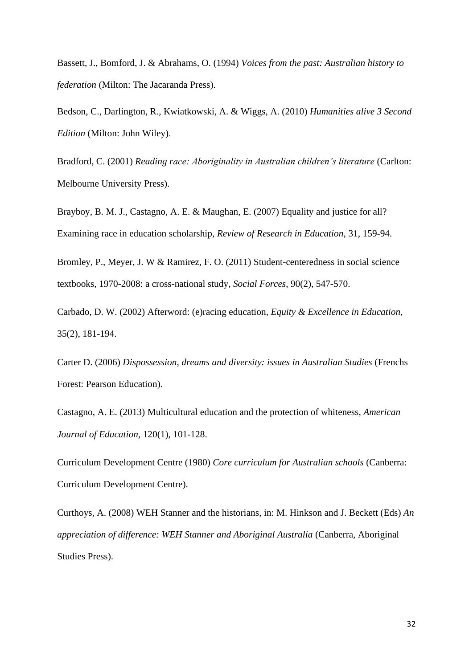Bassett, J., Bomford, J. & Abrahams, O. (1994) *Voices from the past: Australian history to federation* (Milton: The Jacaranda Press).

Bedson, C., Darlington, R., Kwiatkowski, A. & Wiggs, A. (2010) *Humanities alive 3 Second Edition* (Milton: John Wiley).

Bradford, C. (2001) *Reading race: Aboriginality in Australian children's literature* (Carlton: Melbourne University Press).

Brayboy, B. M. J., Castagno, A. E. & Maughan, E. (2007) Equality and justice for all? Examining race in education scholarship, *Review of Research in Education*, 31, 159-94.

Bromley, P., Meyer, J. W & Ramirez, F. O. (2011) Student-centeredness in social science textbooks, 1970-2008: a cross-national study, *Social Forces*, 90(2), 547-570.

Carbado, D. W. (2002) Afterword: (e)racing education, *Equity & Excellence in Education*, 35(2), 181-194.

Carter D. (2006) *Dispossession, dreams and diversity: issues in Australian Studies* (Frenchs Forest: Pearson Education).

Castagno, A. E. (2013) Multicultural education and the protection of whiteness, *American Journal of Education*, 120(1), 101-128.

Curriculum Development Centre (1980) *Core curriculum for Australian schools* (Canberra: Curriculum Development Centre).

Curthoys, A. (2008) WEH Stanner and the historians, in: M. Hinkson and J. Beckett (Eds) *An appreciation of difference: WEH Stanner and Aboriginal Australia* (Canberra, Aboriginal Studies Press).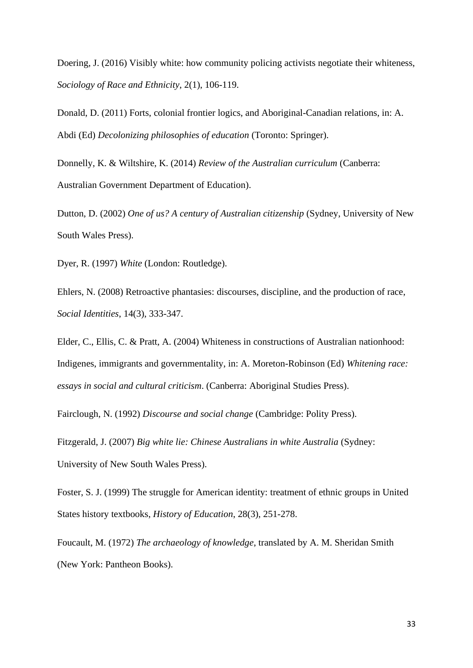Doering, J. (2016) Visibly white: how community policing activists negotiate their whiteness, *Sociology of Race and Ethnicity*, 2(1), 106-119.

Donald, D. (2011) Forts, colonial frontier logics, and Aboriginal-Canadian relations, in: A. Abdi (Ed) *Decolonizing philosophies of education* (Toronto: Springer).

Donnelly, K. & Wiltshire, K. (2014) *Review of the Australian curriculum* (Canberra: Australian Government Department of Education).

Dutton, D. (2002) *One of us? A century of Australian citizenship* (Sydney, University of New South Wales Press).

Dyer, R. (1997) *White* (London: Routledge).

Ehlers, N. (2008) Retroactive phantasies: discourses, discipline, and the production of race, *Social Identities*, 14(3), 333-347.

Elder, C., Ellis, C. & Pratt, A. (2004) Whiteness in constructions of Australian nationhood: Indigenes, immigrants and governmentality, in: A. Moreton-Robinson (Ed) *Whitening race: essays in social and cultural criticism*. (Canberra: Aboriginal Studies Press).

Fairclough, N. (1992) *Discourse and social change* (Cambridge: Polity Press).

Fitzgerald, J. (2007) *Big white lie: Chinese Australians in white Australia* (Sydney: University of New South Wales Press).

Foster, S. J. (1999) The struggle for American identity: treatment of ethnic groups in United States history textbooks, *History of Education*, 28(3), 251-278.

Foucault, M. (1972) *The archaeology of knowledge*, translated by A. M. Sheridan Smith (New York: Pantheon Books).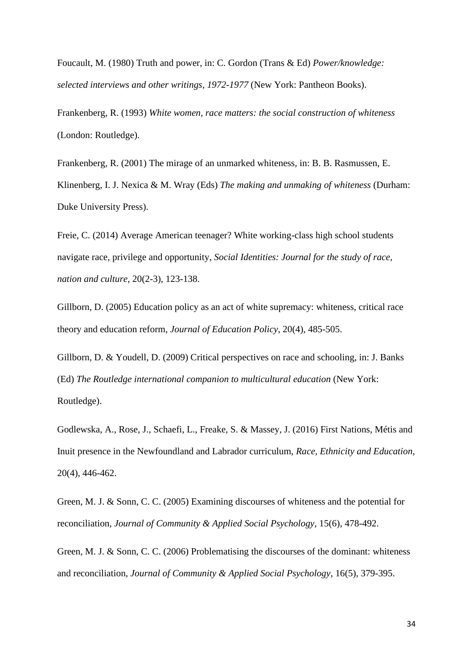Foucault, M. (1980) Truth and power, in: C. Gordon (Trans & Ed) *Power/knowledge: selected interviews and other writings, 1972-1977* (New York: Pantheon Books).

Frankenberg, R. (1993) *White women, race matters: the social construction of whiteness* (London: Routledge).

Frankenberg, R. (2001) The mirage of an unmarked whiteness, in: B. B. Rasmussen, E. Klinenberg, I. J. Nexica & M. Wray (Eds) *The making and unmaking of whiteness* (Durham: Duke University Press).

Freie, C. (2014) Average American teenager? White working-class high school students navigate race, privilege and opportunity, *Social Identities: Journal for the study of race, nation and culture*, 20(2-3), 123-138.

Gillborn, D. (2005) Education policy as an act of white supremacy: whiteness, critical race theory and education reform, *Journal of Education Policy*, 20(4), 485-505.

Gillborn, D. & Youdell, D. (2009) Critical perspectives on race and schooling, in: J. Banks (Ed) *The Routledge international companion to multicultural education* (New York: Routledge).

Godlewska, A., Rose, J., Schaefi, L., Freake, S. & Massey, J. (2016) First Nations, Métis and Inuit presence in the Newfoundland and Labrador curriculum, *Race, Ethnicity and Education*, 20(4), 446-462.

Green, M. J. & Sonn, C. C. (2005) Examining discourses of whiteness and the potential for reconciliation, *Journal of Community & Applied Social Psychology*, 15(6), 478-492.

Green, M. J. & Sonn, C. C. (2006) Problematising the discourses of the dominant: whiteness and reconciliation, *Journal of Community & Applied Social Psychology*, 16(5), 379-395.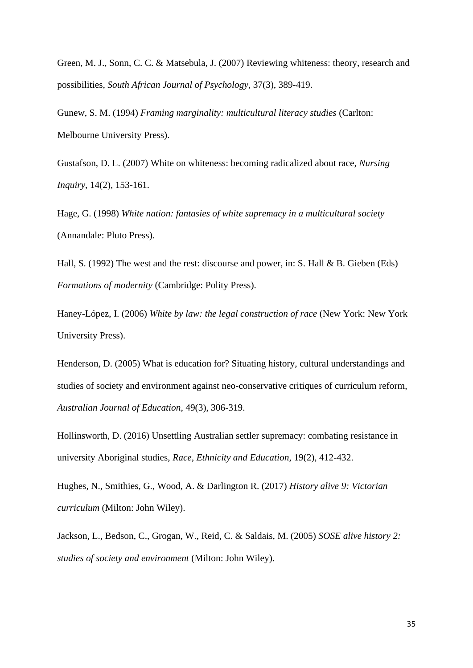Green, M. J., Sonn, C. C. & Matsebula, J. (2007) Reviewing whiteness: theory, research and possibilities, *South African Journal of Psychology*, 37(3), 389-419.

Gunew, S. M. (1994) *Framing marginality: multicultural literacy studies* (Carlton: Melbourne University Press).

Gustafson, D. L. (2007) White on whiteness: becoming radicalized about race, *Nursing Inquiry*, 14(2), 153-161.

Hage, G. (1998) *White nation: fantasies of white supremacy in a multicultural society* (Annandale: Pluto Press).

Hall, S. (1992) The west and the rest: discourse and power, in: S. Hall & B. Gieben (Eds) *Formations of modernity* (Cambridge: Polity Press).

Haney-López, I. (2006) *White by law: the legal construction of race* (New York: New York University Press).

Henderson, D. (2005) What is education for? Situating history, cultural understandings and studies of society and environment against neo-conservative critiques of curriculum reform, *Australian Journal of Education*, 49(3), 306-319.

Hollinsworth, D. (2016) Unsettling Australian settler supremacy: combating resistance in university Aboriginal studies, *Race, Ethnicity and Education*, 19(2), 412-432.

Hughes, N., Smithies, G., Wood, A. & Darlington R. (2017) *History alive 9: Victorian curriculum* (Milton: John Wiley).

Jackson, L., Bedson, C., Grogan, W., Reid, C. & Saldais, M. (2005) *SOSE alive history 2: studies of society and environment* (Milton: John Wiley).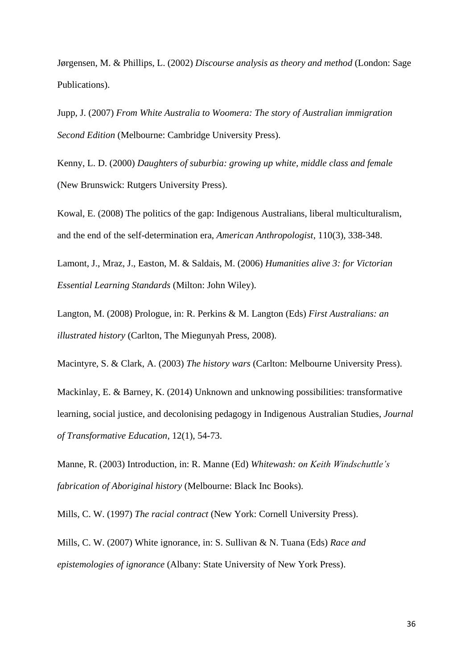Jørgensen, M. & Phillips, L. (2002) *Discourse analysis as theory and method* (London: Sage Publications).

Jupp, J. (2007) *From White Australia to Woomera: The story of Australian immigration Second Edition* (Melbourne: Cambridge University Press).

Kenny, L. D. (2000) *Daughters of suburbia: growing up white, middle class and female* (New Brunswick: Rutgers University Press).

Kowal, E. (2008) The politics of the gap: Indigenous Australians, liberal multiculturalism, and the end of the self-determination era, *American Anthropologist*, 110(3), 338-348.

Lamont, J., Mraz, J., Easton, M. & Saldais, M. (2006) *Humanities alive 3: for Victorian Essential Learning Standards* (Milton: John Wiley).

Langton, M. (2008) Prologue, in: R. Perkins & M. Langton (Eds) *First Australians: an illustrated history* (Carlton, The Miegunyah Press, 2008).

Macintyre, S. & Clark, A. (2003) *The history wars* (Carlton: Melbourne University Press).

Mackinlay, E. & Barney, K. (2014) Unknown and unknowing possibilities: transformative learning, social justice, and decolonising pedagogy in Indigenous Australian Studies, *Journal of Transformative Education*, 12(1), 54-73.

Manne, R. (2003) Introduction, in: R. Manne (Ed) *Whitewash: on Keith Windschuttle's fabrication of Aboriginal history* (Melbourne: Black Inc Books).

Mills, C. W. (1997) *The racial contract* (New York: Cornell University Press).

Mills, C. W. (2007) White ignorance, in: S. Sullivan & N. Tuana (Eds) *Race and epistemologies of ignorance* (Albany: State University of New York Press).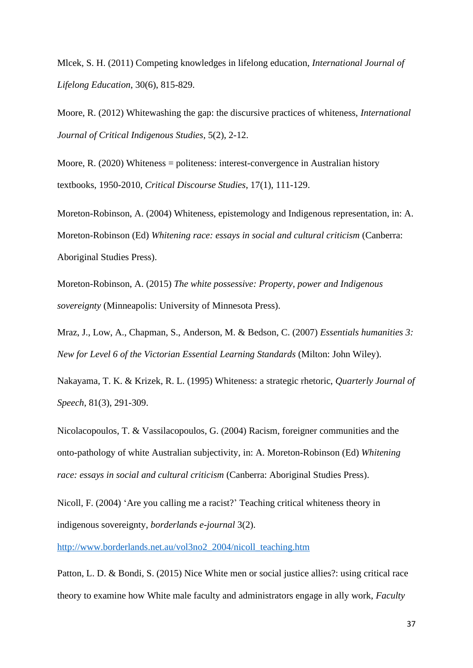Mlcek, S. H. (2011) Competing knowledges in lifelong education, *International Journal of Lifelong Education*, 30(6), 815-829.

Moore, R. (2012) Whitewashing the gap: the discursive practices of whiteness, *International Journal of Critical Indigenous Studies*, 5(2), 2-12.

Moore, R. (2020) Whiteness = politeness: interest-convergence in Australian history textbooks, 1950-2010, *Critical Discourse Studies*, 17(1), 111-129.

Moreton-Robinson, A. (2004) Whiteness, epistemology and Indigenous representation, in: A. Moreton-Robinson (Ed) *Whitening race: essays in social and cultural criticism* (Canberra: Aboriginal Studies Press).

Moreton-Robinson, A. (2015) *The white possessive: Property, power and Indigenous sovereignty* (Minneapolis: University of Minnesota Press).

Mraz, J., Low, A., Chapman, S., Anderson, M. & Bedson, C. (2007) *Essentials humanities 3: New for Level 6 of the Victorian Essential Learning Standards* (Milton: John Wiley).

Nakayama, T. K. & Krizek, R. L. (1995) Whiteness: a strategic rhetoric, *Quarterly Journal of Speech*, 81(3), 291-309.

Nicolacopoulos, T. & Vassilacopoulos, G. (2004) Racism, foreigner communities and the onto-pathology of white Australian subjectivity, in: A. Moreton-Robinson (Ed) *Whitening race: essays in social and cultural criticism* (Canberra: Aboriginal Studies Press).

Nicoll, F. (2004) 'Are you calling me a racist?' Teaching critical whiteness theory in indigenous sovereignty, *borderlands e-journal* 3(2).

[http://www.borderlands.net.au/vol3no2\\_2004/nicoll\\_teaching.htm](http://www.borderlands.net.au/vol3no2_2004/nicoll_teaching.htm)

Patton, L. D. & Bondi, S. (2015) Nice White men or social justice allies?: using critical race theory to examine how White male faculty and administrators engage in ally work, *Faculty*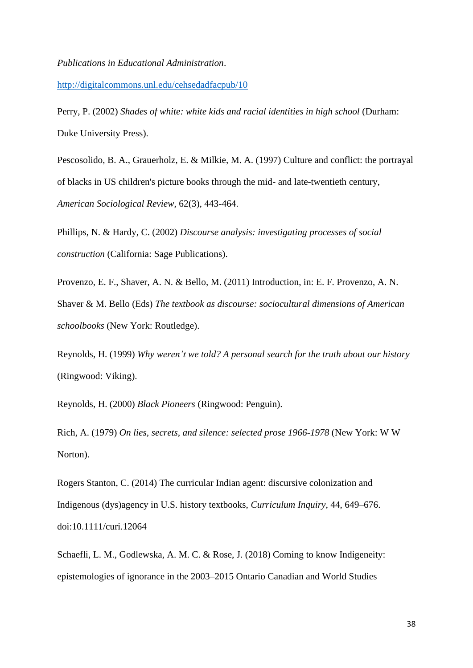#### *Publications in Educational Administration*.

<http://digitalcommons.unl.edu/cehsedadfacpub/10>

Perry, P. (2002) *Shades of white: white kids and racial identities in high school* (Durham: Duke University Press).

Pescosolido, B. A., Grauerholz, E. & Milkie, M. A. (1997) Culture and conflict: the portrayal of blacks in US children's picture books through the mid- and late-twentieth century, *American Sociological Review*, 62(3), 443-464.

Phillips, N. & Hardy, C. (2002) *Discourse analysis: investigating processes of social construction* (California: Sage Publications).

Provenzo, E. F., Shaver, A. N. & Bello, M. (2011) Introduction, in: E. F. Provenzo, A. N. Shaver & M. Bello (Eds) *The textbook as discourse: sociocultural dimensions of American schoolbooks* (New York: Routledge).

Reynolds, H. (1999) *Why weren't we told? A personal search for the truth about our history* (Ringwood: Viking).

Reynolds, H. (2000) *Black Pioneers* (Ringwood: Penguin).

Rich, A. (1979) *On lies, secrets, and silence: selected prose 1966-1978* (New York: W W Norton).

Rogers Stanton, C. (2014) The curricular Indian agent: discursive colonization and Indigenous (dys)agency in U.S. history textbooks, *Curriculum Inquiry*, 44, 649–676. doi:10.1111/curi.12064

Schaefli, L. M., Godlewska, A. M. C. & Rose, J. (2018) Coming to know Indigeneity: epistemologies of ignorance in the 2003–2015 Ontario Canadian and World Studies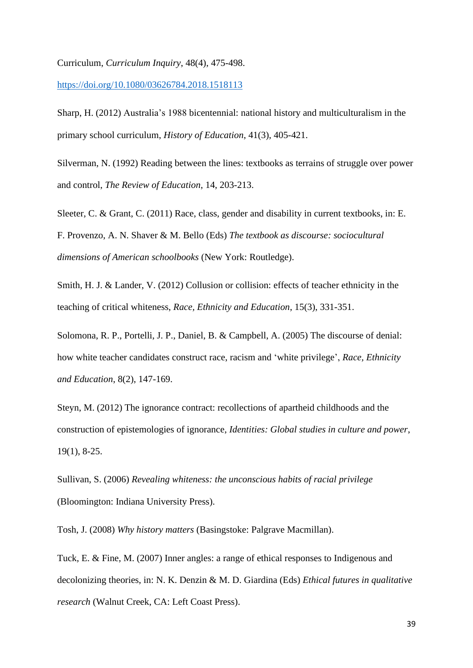Curriculum, *Curriculum Inquiry*, 48(4), 475-498.

<https://doi.org/10.1080/03626784.2018.1518113>

Sharp, H. (2012) Australia's 1988 bicentennial: national history and multiculturalism in the primary school curriculum, *History of Education*, 41(3), 405-421.

Silverman, N. (1992) Reading between the lines: textbooks as terrains of struggle over power and control, *The Review of Education*, 14, 203-213.

Sleeter, C. & Grant, C. (2011) Race, class, gender and disability in current textbooks, in: E. F. Provenzo, A. N. Shaver & M. Bello (Eds) *The textbook as discourse: sociocultural dimensions of American schoolbooks* (New York: Routledge).

Smith, H. J. & Lander, V. (2012) Collusion or collision: effects of teacher ethnicity in the teaching of critical whiteness, *Race, Ethnicity and Education*, 15(3), 331-351.

Solomona, R. P., Portelli, J. P., Daniel, B. & Campbell, A. (2005) The discourse of denial: how white teacher candidates construct race, racism and 'white privilege', *Race, Ethnicity and Education*, 8(2), 147-169.

Steyn, M. (2012) The ignorance contract: recollections of apartheid childhoods and the construction of epistemologies of ignorance, *Identities: Global studies in culture and power*, 19(1), 8-25.

Sullivan, S. (2006) *Revealing whiteness: the unconscious habits of racial privilege* (Bloomington: Indiana University Press).

Tosh, J. (2008) *Why history matters* (Basingstoke: Palgrave Macmillan).

Tuck, E. & Fine, M. (2007) Inner angles: a range of ethical responses to Indigenous and decolonizing theories, in: N. K. Denzin & M. D. Giardina (Eds) *Ethical futures in qualitative research* (Walnut Creek, CA: Left Coast Press).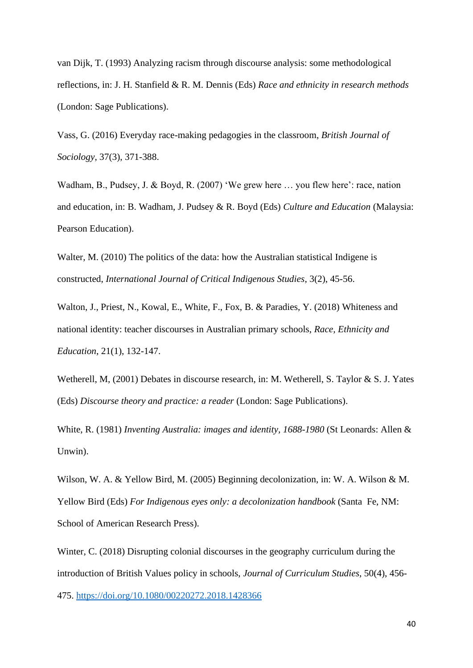van Dijk, T. (1993) Analyzing racism through discourse analysis: some methodological reflections, in: J. H. Stanfield & R. M. Dennis (Eds) *Race and ethnicity in research methods* (London: Sage Publications).

Vass, G. (2016) Everyday race-making pedagogies in the classroom, *British Journal of Sociology*, 37(3), 371-388.

Wadham, B., Pudsey, J. & Boyd, R. (2007) 'We grew here … you flew here': race, nation and education, in: B. Wadham, J. Pudsey & R. Boyd (Eds) *Culture and Education* (Malaysia: Pearson Education).

Walter, M. (2010) The politics of the data: how the Australian statistical Indigene is constructed, *International Journal of Critical Indigenous Studies*, 3(2), 45-56.

Walton, J., Priest, N., Kowal, E., White, F., Fox, B. & Paradies, Y. (2018) Whiteness and national identity: teacher discourses in Australian primary schools, *Race, Ethnicity and Education*, 21(1), 132-147.

Wetherell, M, (2001) Debates in discourse research, in: M. Wetherell, S. Taylor & S. J. Yates (Eds) *Discourse theory and practice: a reader* (London: Sage Publications).

White, R. (1981) *Inventing Australia: images and identity, 1688-1980* (St Leonards: Allen & Unwin).

Wilson, W. A. & Yellow Bird, M. (2005) Beginning decolonization, in: W. A. Wilson & M. Yellow Bird (Eds) *For Indigenous eyes only: a decolonization handbook* (Santa Fe, NM: School of American Research Press).

Winter, C. (2018) Disrupting colonial discourses in the geography curriculum during the introduction of British Values policy in schools, *Journal of Curriculum Studies*, 50(4), 456- 475.<https://doi.org/10.1080/00220272.2018.1428366>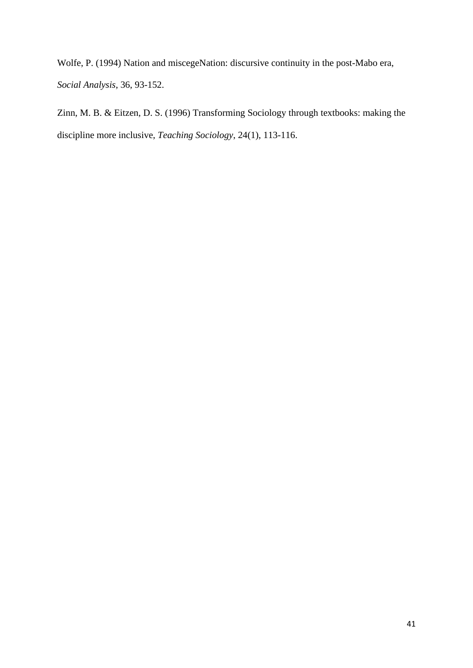Wolfe, P. (1994) Nation and miscegeNation: discursive continuity in the post-Mabo era, *Social Analysis*, 36, 93-152.

Zinn, M. B. & Eitzen, D. S. (1996) Transforming Sociology through textbooks: making the discipline more inclusive, *Teaching Sociology*, 24(1), 113-116.